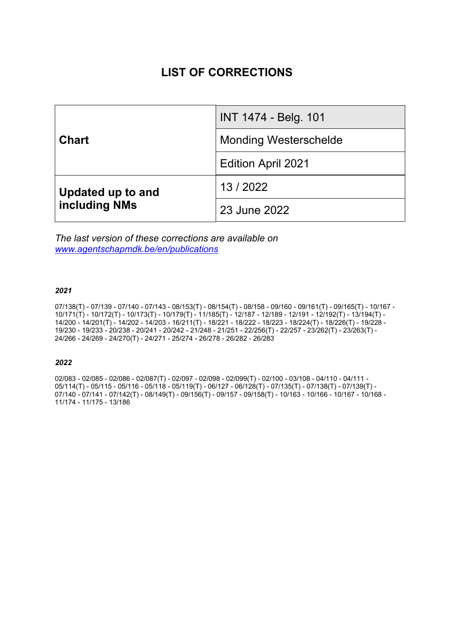# **LIST OF CORRECTIONS**

| <b>Chart</b>                              | <b>INT 1474 - Belg. 101</b>  |
|-------------------------------------------|------------------------------|
|                                           | <b>Monding Westerschelde</b> |
|                                           | <b>Edition April 2021</b>    |
| <b>Updated up to and</b><br>including NMs | 13/2022                      |
|                                           | 23 June 2022                 |

*The last version of these corrections are available on www.agentschapmdk.be/en/publications*

#### *2021*

07/138(T) - 07/139 - 07/140 - 07/143 - 08/153(T) - 08/154(T) - 08/158 - 09/160 - 09/161(T) - 09/165(T) - 10/167 - 10/171(T) - 10/172(T) - 10/173(T) - 10/179(T) - 11/185(T) - 12/187 - 12/189 - 12/191 - 12/192(T) - 13/194(T) - 14/200 - 14/201(T) - 14/202 - 14/203 - 16/211(T) - 18/221 - 18/222 - 18/223 - 18/224(T) - 18/226(T) - 19/228 - 19/230 - 19/233 - 20/238 - 20/241 - 20/242 - 21/248 - 21/251 - 22/256(T) - 22/257 - 23/262(T) - 23/263(T) - 24/266 - 24/269 - 24/270(T) - 24/271 - 25/274 - 26/278 - 26/282 - 26/283

### *2022*

02/083 - 02/085 - 02/086 - 02/087(T) - 02/097 - 02/098 - 02/099(T) - 02/100 - 03/108 - 04/110 - 04/111 - 05/114(T) - 05/115 - 05/116 - 05/118 - 05/119(T) - 06/127 - 06/128(T) - 07/135(T) - 07/138(T) - 07/139(T) - 07/140 - 07/141 - 07/142(T) - 08/149(T) - 09/156(T) - 09/157 - 09/158(T) - 10/163 - 10/166 - 10/167 - 10/168 - 11/174 - 11/175 - 13/186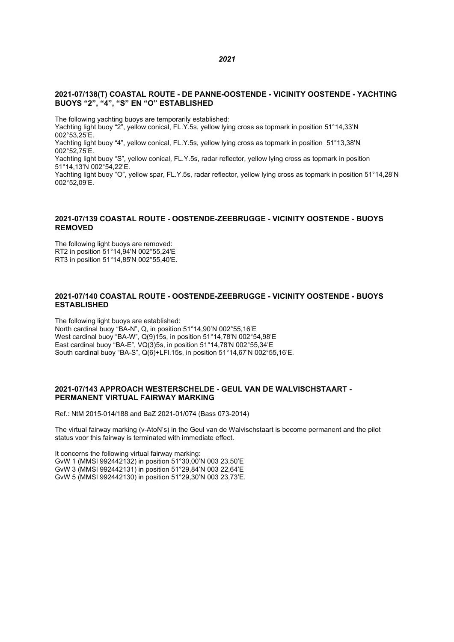#### **2021-07/138(T) COASTAL ROUTE - DE PANNE-OOSTENDE - VICINITY OOSTENDE - YACHTING BUOYS "2", "4", "S" EN "O" ESTABLISHED**

The following yachting buoys are temporarily established:

Yachting light buoy "2", yellow conical, FL.Y.5s, yellow lying cross as topmark in position 51°14,33'N 002°53,25'E.

Yachting light buoy "4", yellow conical, FL.Y.5s, yellow lying cross as topmark in position 51°13,38'N 002°52,75'E.

Yachting light buoy "S", yellow conical, FL.Y.5s, radar reflector, yellow lying cross as topmark in position 51°14,13'N 002°54,22'E.

Yachting light buoy "O", yellow spar, FL.Y.5s, radar reflector, yellow lying cross as topmark in position 51°14,28'N 002°52,09'E.

#### **2021-07/139 COASTAL ROUTE - OOSTENDE-ZEEBRUGGE - VICINITY OOSTENDE - BUOYS REMOVED**

The following light buoys are removed: RT2 in position 51°14,94'N 002°55,24'E RT3 in position 51°14,85'N 002°55,40'E.

#### **2021-07/140 COASTAL ROUTE - OOSTENDE-ZEEBRUGGE - VICINITY OOSTENDE - BUOYS ESTABLISHED**

The following light buoys are established: North cardinal buoy "BA-N", Q, in position 51°14,90'N 002°55,16'E West cardinal buoy "BA-W", Q(9)15s, in position 51°14,78'N 002°54,98'E East cardinal buoy "BA-E", VQ(3)5s, in position 51°14,78'N 002°55,34'E South cardinal buoy "BA-S", Q(6)+LFl.15s, in position 51°14,67'N 002°55,16'E.

## **2021-07/143 APPROACH WESTERSCHELDE - GEUL VAN DE WALVISCHSTAART - PERMANENT VIRTUAL FAIRWAY MARKING**

Ref.: NtM 2015-014/188 and BaZ 2021-01/074 (Bass 073-2014)

The virtual fairway marking (v-AtoN's) in the Geul van de Walvischstaart is become permanent and the pilot status voor this fairway is terminated with immediate effect.

It concerns the following virtual fairway marking: GvW 1 (MMSI 992442132) in position 51°30,00'N 003 23,50'E GvW 3 (MMSI 992442131) in position 51°29,84'N 003 22,64'E GvW 5 (MMSI 992442130) in position 51°29,30'N 003 23,73'E.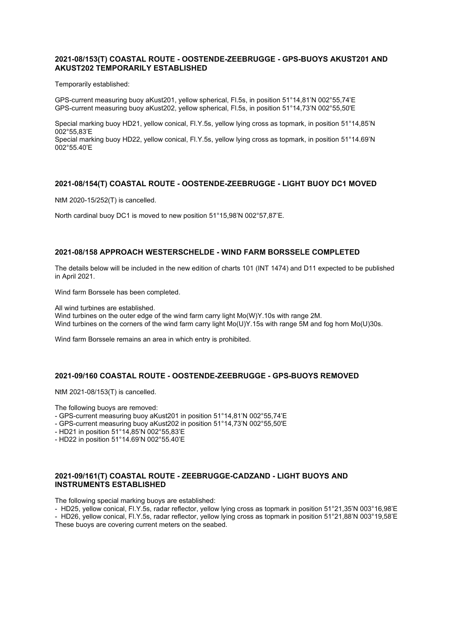### **2021-08/153(T) COASTAL ROUTE - OOSTENDE-ZEEBRUGGE - GPS-BUOYS AKUST201 AND AKUST202 TEMPORARILY ESTABLISHED**

Temporarily established:

GPS-current measuring buoy aKust201, yellow spherical, Fl.5s, in position 51°14,81'N 002°55,74'E GPS-current measuring buoy aKust202, yellow spherical, Fl.5s, in position 51°14,73'N 002°55,50'E

Special marking buoy HD21, yellow conical, Fl.Y.5s, yellow lying cross as topmark, in position 51°14,85'N 002°55,83'E Special marking buoy HD22, yellow conical, Fl.Y.5s, yellow lying cross as topmark, in position 51°14.69'N 002°55.40'E

#### **2021-08/154(T) COASTAL ROUTE - OOSTENDE-ZEEBRUGGE - LIGHT BUOY DC1 MOVED**

NtM 2020-15/252(T) is cancelled.

North cardinal buoy DC1 is moved to new position 51°15,98'N 002°57,87'E.

#### **2021-08/158 APPROACH WESTERSCHELDE - WIND FARM BORSSELE COMPLETED**

The details below will be included in the new edition of charts 101 (INT 1474) and D11 expected to be published in April 2021.

Wind farm Borssele has been completed.

All wind turbines are established.

Wind turbines on the outer edge of the wind farm carry light Mo(W)Y.10s with range 2M. Wind turbines on the corners of the wind farm carry light Mo(U)Y.15s with range 5M and fog horn Mo(U)30s.

Wind farm Borssele remains an area in which entry is prohibited.

# **2021-09/160 COASTAL ROUTE - OOSTENDE-ZEEBRUGGE - GPS-BUOYS REMOVED**

NtM 2021-08/153(T) is cancelled.

The following buoys are removed:

- GPS-current measuring buoy aKust201 in position 51°14,81'N 002°55,74'E

- GPS-current measuring buoy aKust202 in position 51°14,73'N 002°55,50'E

- HD21 in position 51°14,85'N 002°55,83'E
- HD22 in position 51°14.69'N 002°55.40'E

#### **2021-09/161(T) COASTAL ROUTE - ZEEBRUGGE-CADZAND - LIGHT BUOYS AND INSTRUMENTS ESTABLISHED**

The following special marking buoys are established:

- HD25, yellow conical, Fl.Y.5s, radar reflector, yellow lying cross as topmark in position 51°21,35'N 003°16,98'E

- HD26, yellow conical, Fl.Y.5s, radar reflector, yellow lying cross as topmark in position 51°21,88'N 003°19,58'E These buoys are covering current meters on the seabed.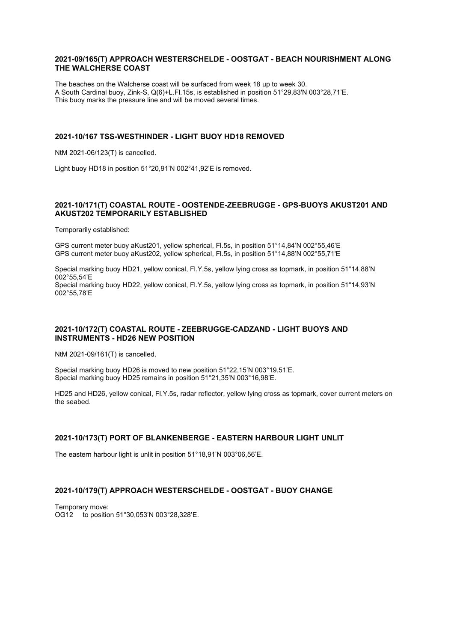#### **2021-09/165(T) APPROACH WESTERSCHELDE - OOSTGAT - BEACH NOURISHMENT ALONG THE WALCHERSE COAST**

The beaches on the Walcherse coast will be surfaced from week 18 up to week 30. A South Cardinal buoy, Zink-S, Q(6)+L.Fl.15s, is established in position 51°29,83'N 003°28,71'E. This buoy marks the pressure line and will be moved several times.

### **2021-10/167 TSS-WESTHINDER - LIGHT BUOY HD18 REMOVED**

NtM 2021-06/123(T) is cancelled.

Light buoy HD18 in position 51°20,91'N 002°41,92'E is removed.

### **2021-10/171(T) COASTAL ROUTE - OOSTENDE-ZEEBRUGGE - GPS-BUOYS AKUST201 AND AKUST202 TEMPORARILY ESTABLISHED**

Temporarily established:

GPS current meter buoy aKust201, yellow spherical, Fl.5s, in position 51°14,84'N 002°55,46'E GPS current meter buoy aKust202, yellow spherical, Fl.5s, in position 51°14,88'N 002°55,71'E

Special marking buoy HD21, yellow conical, Fl.Y.5s, yellow lying cross as topmark, in position 51°14,88'N 002°55,54'E Special marking buoy HD22, yellow conical, Fl.Y.5s, yellow lying cross as topmark, in position 51°14,93'N 002°55,78'E

# **2021-10/172(T) COASTAL ROUTE - ZEEBRUGGE-CADZAND - LIGHT BUOYS AND INSTRUMENTS - HD26 NEW POSITION**

NtM 2021-09/161(T) is cancelled.

Special marking buoy HD26 is moved to new position 51°22,15'N 003°19,51'E. Special marking buoy HD25 remains in position 51°21,35'N 003°16,98'E.

HD25 and HD26, yellow conical, Fl.Y.5s, radar reflector, yellow lying cross as topmark, cover current meters on the seabed.

# **2021-10/173(T) PORT OF BLANKENBERGE - EASTERN HARBOUR LIGHT UNLIT**

The eastern harbour light is unlit in position 51°18,91'N 003°06,56'E.

# **2021-10/179(T) APPROACH WESTERSCHELDE - OOSTGAT - BUOY CHANGE**

Temporary move: OG12 to position 51°30,053'N 003°28,328'E.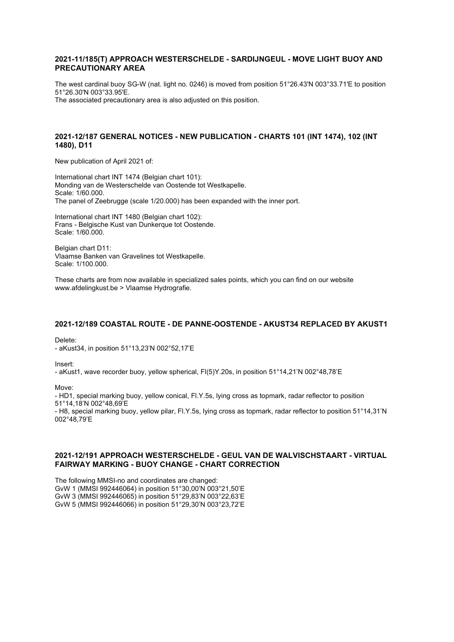#### **2021-11/185(T) APPROACH WESTERSCHELDE - SARDIJNGEUL - MOVE LIGHT BUOY AND PRECAUTIONARY AREA**

The west cardinal buoy SG-W (nat. light no. 0246) is moved from position 51°26.43'N 003°33.71'E to position 51°26.30'N 003°33.95'E. The associated precautionary area is also adjusted on this position.

#### **2021-12/187 GENERAL NOTICES - NEW PUBLICATION - CHARTS 101 (INT 1474), 102 (INT 1480), D11**

New publication of April 2021 of:

International chart INT 1474 (Belgian chart 101): Monding van de Westerschelde van Oostende tot Westkapelle. Scale: 1/60.000. The panel of Zeebrugge (scale 1/20.000) has been expanded with the inner port.

International chart INT 1480 (Belgian chart 102): Frans - Belgische Kust van Dunkerque tot Oostende. Scale: 1/60.000.

Belgian chart D11: Vlaamse Banken van Gravelines tot Westkapelle. Scale: 1/100.000.

These charts are from now available in specialized sales points, which you can find on our website www.afdelingkust.be > Vlaamse Hydrografie.

# **2021-12/189 COASTAL ROUTE - DE PANNE-OOSTENDE - AKUST34 REPLACED BY AKUST1**

Delete:

- aKust34, in position 51°13,23'N 002°52,17'E

Insert:

- aKust1, wave recorder buoy, yellow spherical, Fl(5)Y.20s, in position 51°14,21'N 002°48,78'E

Move:

- HD1, special marking buoy, yellow conical, Fl.Y.5s, lying cross as topmark, radar reflector to position 51°14,18'N 002°48,69'E

- H8, special marking buoy, yellow pilar, Fl.Y.5s, lying cross as topmark, radar reflector to position 51°14,31'N 002°48,79'E

#### **2021-12/191 APPROACH WESTERSCHELDE - GEUL VAN DE WALVISCHSTAART - VIRTUAL FAIRWAY MARKING - BUOY CHANGE - CHART CORRECTION**

The following MMSI-no and coordinates are changed: GvW 1 (MMSI 992446064) in position 51°30,00'N 003°21,50'E GvW 3 (MMSI 992446065) in position 51°29,83'N 003°22,63'E GvW 5 (MMSI 992446066) in position 51°29,30'N 003°23,72'E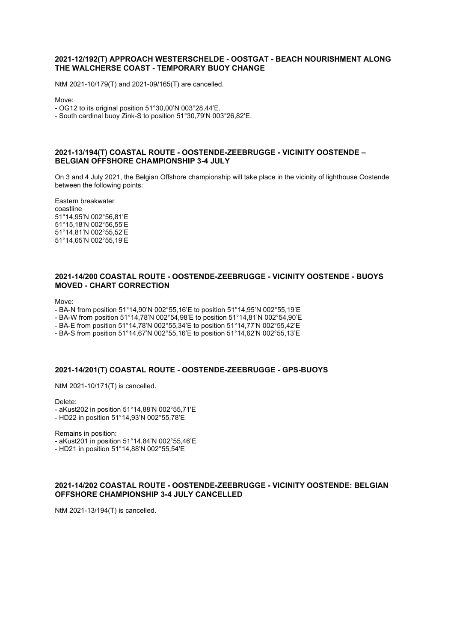#### **2021-12/192(T) APPROACH WESTERSCHELDE - OOSTGAT - BEACH NOURISHMENT ALONG THE WALCHERSE COAST - TEMPORARY BUOY CHANGE**

NtM 2021-10/179(T) and 2021-09/165(T) are cancelled.

#### Move:

- OG12 to its original position 51°30,00'N 003°28,44'E.

- South cardinal buoy Zink-S to position 51°30,79'N 003°26,82'E.

#### **2021-13/194(T) COASTAL ROUTE - OOSTENDE-ZEEBRUGGE - VICINITY OOSTENDE – BELGIAN OFFSHORE CHAMPIONSHIP 3-4 JULY**

On 3 and 4 July 2021, the Belgian Offshore championship will take place in the vicinity of lighthouse Oostende between the following points:

Eastern breakwater coastline 51°14,95'N 002°56,81'E 51°15,18'N 002°56,55'E 51°14,81'N 002°55,52'E 51°14,65'N 002°55,19'E

#### **2021-14/200 COASTAL ROUTE - OOSTENDE-ZEEBRUGGE - VICINITY OOSTENDE - BUOYS MOVED - CHART CORRECTION**

Move:

- BA-N from position 51°14,90'N 002°55,16'E to position 51°14,95'N 002°55,19'E

- BA-W from position 51°14,78'N 002°54,98'E to position 51°14,81'N 002°54,90'E

- BA-E from position 51°14,78'N 002°55,34'E to position 51°14,77'N 002°55,42'E

- BA-S from position 51°14,67'N 002°55,16'E to position 51°14,62'N 002°55,13'E

#### **2021-14/201(T) COASTAL ROUTE - OOSTENDE-ZEEBRUGGE - GPS-BUOYS**

NtM 2021-10/171(T) is cancelled.

Delete:

- aKust202 in position 51°14,88'N 002°55,71'E

- HD22 in position 51°14,93'N 002°55,78'E

Remains in position:

- aKust201 in position 51°14,84'N 002°55,46'E

- HD21 in position 51°14,88'N 002°55,54'E

#### **2021-14/202 COASTAL ROUTE - OOSTENDE-ZEEBRUGGE - VICINITY OOSTENDE: BELGIAN OFFSHORE CHAMPIONSHIP 3-4 JULY CANCELLED**

NtM 2021-13/194(T) is cancelled.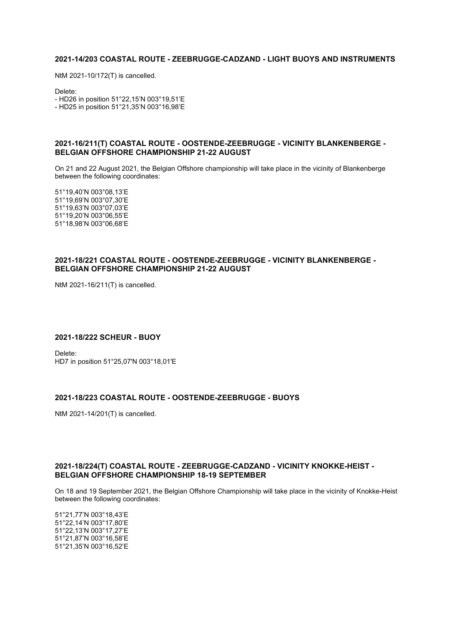#### **2021-14/203 COASTAL ROUTE - ZEEBRUGGE-CADZAND - LIGHT BUOYS AND INSTRUMENTS**

NtM 2021-10/172(T) is cancelled.

Delete: - HD26 in position 51°22,15'N 003°19,51'E - HD25 in position 51°21,35'N 003°16,98'E

#### **2021-16/211(T) COASTAL ROUTE - OOSTENDE-ZEEBRUGGE - VICINITY BLANKENBERGE - BELGIAN OFFSHORE CHAMPIONSHIP 21-22 AUGUST**

On 21 and 22 August 2021, the Belgian Offshore championship will take place in the vicinity of Blankenberge between the following coordinates:

51°19,40'N 003°08,13'E 51°19,69'N 003°07,30'E 51°19,63'N 003°07,03'E 51°19,20'N 003°06,55'E 51°18,98'N 003°06,68'E

#### **2021-18/221 COASTAL ROUTE - OOSTENDE-ZEEBRUGGE - VICINITY BLANKENBERGE - BELGIAN OFFSHORE CHAMPIONSHIP 21-22 AUGUST**

NtM 2021-16/211(T) is cancelled.

### **2021-18/222 SCHEUR - BUOY**

Delete: HD7 in position 51°25,07'N 003°18,01'E

#### **2021-18/223 COASTAL ROUTE - OOSTENDE-ZEEBRUGGE - BUOYS**

NtM 2021-14/201(T) is cancelled.

### **2021-18/224(T) COASTAL ROUTE - ZEEBRUGGE-CADZAND - VICINITY KNOKKE-HEIST - BELGIAN OFFSHORE CHAMPIONSHIP 18-19 SEPTEMBER**

On 18 and 19 September 2021, the Belgian Offshore Championship will take place in the vicinity of Knokke-Heist between the following coordinates:

51°21,77'N 003°18,43'E 51°22,14'N 003°17,80'E 51°22,13'N 003°17,27'E 51°21,87'N 003°16,58'E 51°21,35'N 003°16,52'E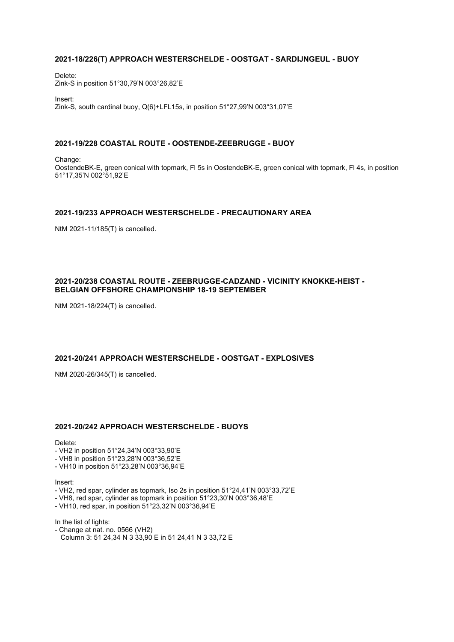### **2021-18/226(T) APPROACH WESTERSCHELDE - OOSTGAT - SARDIJNGEUL - BUOY**

Delete: Zink-S in position 51°30,79'N 003°26,82'E

Insert: Zink-S, south cardinal buoy, Q(6)+LFL15s, in position 51°27,99'N 003°31,07'E

#### **2021-19/228 COASTAL ROUTE - OOSTENDE-ZEEBRUGGE - BUOY**

Change: OostendeBK-E, green conical with topmark, Fl 5s in OostendeBK-E, green conical with topmark, Fl 4s, in position 51°17,35'N 002°51,92'E

### **2021-19/233 APPROACH WESTERSCHELDE - PRECAUTIONARY AREA**

NtM 2021-11/185(T) is cancelled.

#### **2021-20/238 COASTAL ROUTE - ZEEBRUGGE-CADZAND - VICINITY KNOKKE-HEIST - BELGIAN OFFSHORE CHAMPIONSHIP 18-19 SEPTEMBER**

NtM 2021-18/224(T) is cancelled.

#### **2021-20/241 APPROACH WESTERSCHELDE - OOSTGAT - EXPLOSIVES**

NtM 2020-26/345(T) is cancelled.

#### **2021-20/242 APPROACH WESTERSCHELDE - BUOYS**

#### Delete:

- VH2 in position 51°24,34'N 003°33,90'E
- VH8 in position 51°23,28'N 003°36,52'E
- VH10 in position 51°23,28'N 003°36,94'E

Insert:

- VH2, red spar, cylinder as topmark, Iso 2s in position 51°24,41'N 003°33,72'E
- VH8, red spar, cylinder as topmark in position 51°23,30'N 003°36,48'E
- VH10, red spar, in position 51°23,32'N 003°36,94'E

In the list of lights:

- Change at nat. no. 0566 (VH2)
- Column 3: 51 24,34 N 3 33,90 E in 51 24,41 N 3 33,72 E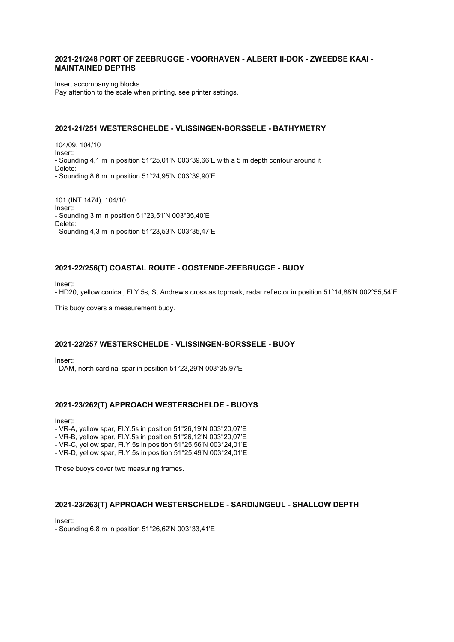#### **2021-21/248 PORT OF ZEEBRUGGE - VOORHAVEN - ALBERT II-DOK - ZWEEDSE KAAI - MAINTAINED DEPTHS**

Insert accompanying blocks. Pay attention to the scale when printing, see printer settings.

### **2021-21/251 WESTERSCHELDE - VLISSINGEN-BORSSELE - BATHYMETRY**

104/09, 104/10 Insert: - Sounding 4,1 m in position 51°25,01'N 003°39,66'E with a 5 m depth contour around it Delete: - Sounding 8,6 m in position 51°24,95'N 003°39,90'E

101 (INT 1474), 104/10 Insert: - Sounding 3 m in position 51°23,51'N 003°35,40'E Delete: - Sounding 4,3 m in position 51°23,53'N 003°35,47'E

# **2021-22/256(T) COASTAL ROUTE - OOSTENDE-ZEEBRUGGE - BUOY**

Insert:

- HD20, yellow conical, Fl.Y.5s, St Andrew's cross as topmark, radar reflector in position 51°14,88'N 002°55,54'E

This buoy covers a measurement buoy.

#### **2021-22/257 WESTERSCHELDE - VLISSINGEN-BORSSELE - BUOY**

Insert: - DAM, north cardinal spar in position 51°23,29'N 003°35,97'E

# **2021-23/262(T) APPROACH WESTERSCHELDE - BUOYS**

Insert:

- VR-A, yellow spar, Fl.Y.5s in position 51°26,19'N 003°20,07'E - VR-B, yellow spar, Fl.Y.5s in position 51°26,12'N 003°20,07'E

- VR-C, yellow spar, Fl.Y.5s in position 51°25,56'N 003°24,01'E

- VR-D, yellow spar, Fl.Y.5s in position 51°25,49'N 003°24,01'E

These buoys cover two measuring frames.

### **2021-23/263(T) APPROACH WESTERSCHELDE - SARDIJNGEUL - SHALLOW DEPTH**

Insert:

- Sounding 6,8 m in position 51°26,62'N 003°33,41'E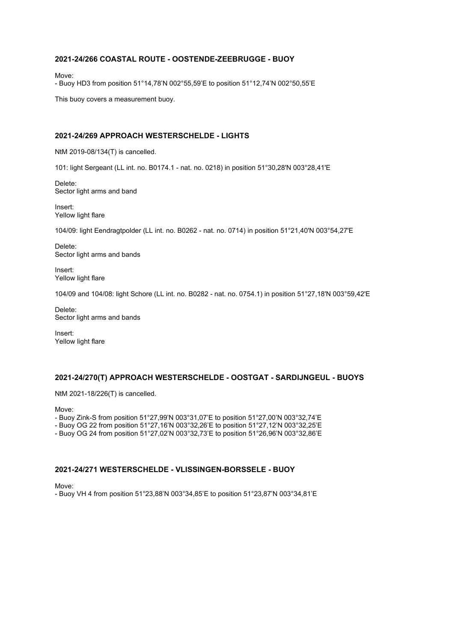# **2021-24/266 COASTAL ROUTE - OOSTENDE-ZEEBRUGGE - BUOY**

Move:

- Buoy HD3 from position 51°14,78'N 002°55,59'E to position 51°12,74'N 002°50,55'E

This buoy covers a measurement buoy.

#### **2021-24/269 APPROACH WESTERSCHELDE - LIGHTS**

NtM 2019-08/134(T) is cancelled.

101: light Sergeant (LL int. no. B0174.1 - nat. no. 0218) in position 51°30,28'N 003°28,41'E

Delete: Sector light arms and band

Insert: Yellow light flare

104/09: light Eendragtpolder (LL int. no. B0262 - nat. no. 0714) in position 51°21,40'N 003°54,27'E

Delete: Sector light arms and bands

Insert: Yellow light flare

104/09 and 104/08: light Schore (LL int. no. B0282 - nat. no. 0754.1) in position 51°27,18'N 003°59,42'E

Delete: Sector light arms and bands

Insert: Yellow light flare

#### **2021-24/270(T) APPROACH WESTERSCHELDE - OOSTGAT - SARDIJNGEUL - BUOYS**

NtM 2021-18/226(T) is cancelled.

Move:

- Buoy Zink-S from position 51°27,99'N 003°31,07'E to position 51°27,00'N 003°32,74'E

- Buoy OG 22 from position 51°27,16'N 003°32,26'E to position 51°27,12'N 003°32,25'E

- Buoy OG 24 from position 51°27,02'N 003°32,73'E to position 51°26,96'N 003°32,86'E

#### **2021-24/271 WESTERSCHELDE - VLISSINGEN-BORSSELE - BUOY**

Move:

- Buoy VH 4 from position 51°23,88'N 003°34,85'E to position 51°23,87'N 003°34,81'E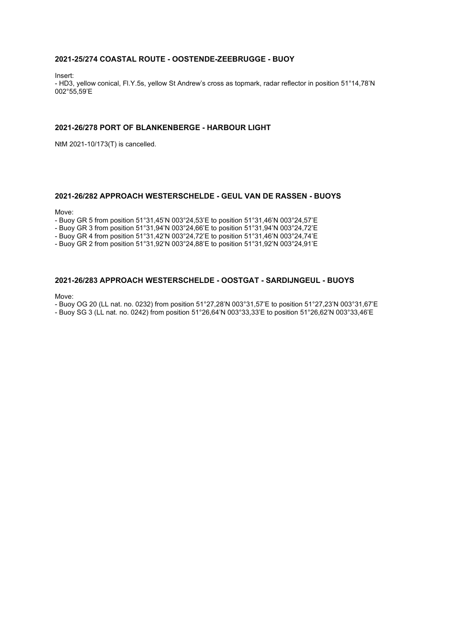### **2021-25/274 COASTAL ROUTE - OOSTENDE-ZEEBRUGGE - BUOY**

Insert:

- HD3, yellow conical, Fl.Y.5s, yellow St Andrew's cross as topmark, radar reflector in position 51°14,78'N 002°55,59'E

### **2021-26/278 PORT OF BLANKENBERGE - HARBOUR LIGHT**

NtM 2021-10/173(T) is cancelled.

# **2021-26/282 APPROACH WESTERSCHELDE - GEUL VAN DE RASSEN - BUOYS**

Move:

- Buoy GR 5 from position 51°31,45'N 003°24,53'E to position 51°31,46'N 003°24,57'E

- Buoy GR 3 from position 51°31,94'N 003°24,66'E to position 51°31,94'N 003°24,72'E

- Buoy GR 4 from position 51°31,42'N 003°24,72'E to position 51°31,46'N 003°24,74'E

- Buoy GR 2 from position 51°31,92'N 003°24,88'E to position 51°31,92'N 003°24,91'E

#### **2021-26/283 APPROACH WESTERSCHELDE - OOSTGAT - SARDIJNGEUL - BUOYS**

Move:

- Buoy OG 20 (LL nat. no. 0232) from position 51°27,28'N 003°31,57'E to position 51°27,23'N 003°31,67'E

- Buoy SG 3 (LL nat. no. 0242) from position 51°26,64'N 003°33,33'E to position 51°26,62'N 003°33,46'E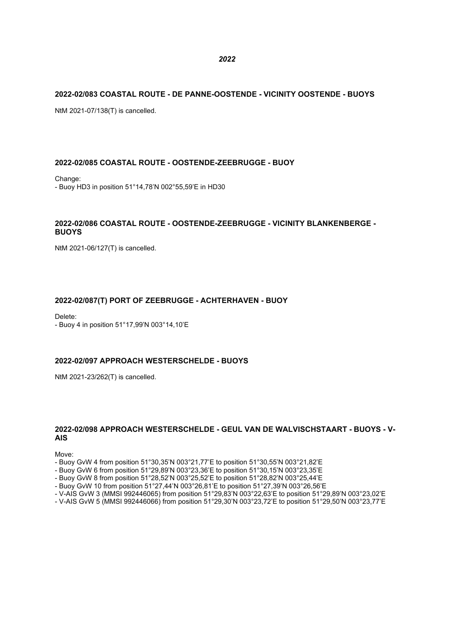#### **2022-02/083 COASTAL ROUTE - DE PANNE-OOSTENDE - VICINITY OOSTENDE - BUOYS**

NtM 2021-07/138(T) is cancelled.

### **2022-02/085 COASTAL ROUTE - OOSTENDE-ZEEBRUGGE - BUOY**

Change: - Buoy HD3 in position 51°14,78'N 002°55,59'E in HD30

# **2022-02/086 COASTAL ROUTE - OOSTENDE-ZEEBRUGGE - VICINITY BLANKENBERGE - BUOYS**

NtM 2021-06/127(T) is cancelled.

#### **2022-02/087(T) PORT OF ZEEBRUGGE - ACHTERHAVEN - BUOY**

Delete:

- Buoy 4 in position 51°17,99'N 003°14,10'E

# **2022-02/097 APPROACH WESTERSCHELDE - BUOYS**

NtM 2021-23/262(T) is cancelled.

### **2022-02/098 APPROACH WESTERSCHELDE - GEUL VAN DE WALVISCHSTAART - BUOYS - V-AIS**

Move:

- Buoy GvW 4 from position 51°30,35'N 003°21,77'E to position 51°30,55'N 003°21,82'E
- Buoy GvW 6 from position 51°29,89'N 003°23,36'E to position 51°30,15'N 003°23,35'E
- Buoy GvW 8 from position 51°28,52'N 003°25,52'E to position 51°28,82'N 003°25,44'E
- Buoy GvW 10 from position 51°27,44'N 003°26,81'E to position 51°27,39'N 003°26,56'E
- V-AIS GvW 3 (MMSI 992446065) from position 51°29,83'N 003°22,63'E to position 51°29,89'N 003°23,02'E
- V-AIS GvW 5 (MMSI 992446066) from position 51°29,30'N 003°23,72'E to position 51°29,50'N 003°23,77'E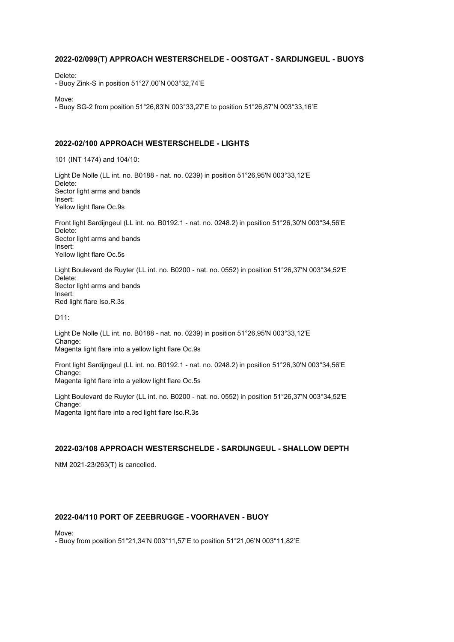# **2022-02/099(T) APPROACH WESTERSCHELDE - OOSTGAT - SARDIJNGEUL - BUOYS**

Delete:

- Buoy Zink-S in position 51°27,00'N 003°32,74'E

Move:

- Buoy SG-2 from position 51°26,83'N 003°33,27'E to position 51°26,87'N 003°33,16'E

### **2022-02/100 APPROACH WESTERSCHELDE - LIGHTS**

101 (INT 1474) and 104/10:

Light De Nolle (LL int. no. B0188 - nat. no. 0239) in position 51°26,95'N 003°33,12'E Delete: Sector light arms and bands Insert: Yellow light flare Oc.9s

Front light Sardijngeul (LL int. no. B0192.1 - nat. no. 0248.2) in position 51°26,30'N 003°34,56'E Delete: Sector light arms and bands Insert: Yellow light flare Oc.5s

Light Boulevard de Ruyter (LL int. no. B0200 - nat. no. 0552) in position 51°26,37'N 003°34,52'E Delete: Sector light arms and bands Insert: Red light flare Iso.R.3s

D11:

Light De Nolle (LL int. no. B0188 - nat. no. 0239) in position 51°26,95'N 003°33,12'E Change: Magenta light flare into a yellow light flare Oc.9s

Front light Sardijngeul (LL int. no. B0192.1 - nat. no. 0248.2) in position 51°26,30'N 003°34,56'E Change: Magenta light flare into a yellow light flare Oc.5s

Light Boulevard de Ruyter (LL int. no. B0200 - nat. no. 0552) in position 51°26,37'N 003°34,52'E Change: Magenta light flare into a red light flare Iso.R.3s

# **2022-03/108 APPROACH WESTERSCHELDE - SARDIJNGEUL - SHALLOW DEPTH**

NtM 2021-23/263(T) is cancelled.

# **2022-04/110 PORT OF ZEEBRUGGE - VOORHAVEN - BUOY**

Move:

- Buoy from position 51°21,34'N 003°11,57'E to position 51°21,06'N 003°11,82'E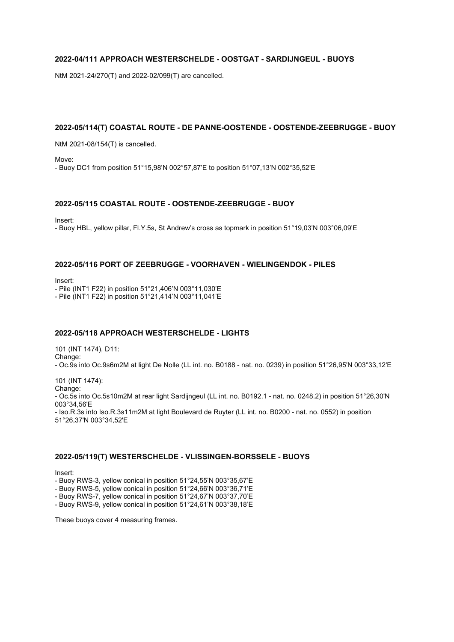# **2022-04/111 APPROACH WESTERSCHELDE - OOSTGAT - SARDIJNGEUL - BUOYS**

NtM 2021-24/270(T) and 2022-02/099(T) are cancelled.

# **2022-05/114(T) COASTAL ROUTE - DE PANNE-OOSTENDE - OOSTENDE-ZEEBRUGGE - BUOY**

NtM 2021-08/154(T) is cancelled.

Move:

- Buoy DC1 from position 51°15,98'N 002°57,87'E to position 51°07,13'N 002°35,52'E

### **2022-05/115 COASTAL ROUTE - OOSTENDE-ZEEBRUGGE - BUOY**

Insert:

- Buoy HBL, yellow pillar, Fl.Y.5s, St Andrew's cross as topmark in position 51°19,03'N 003°06,09'E

#### **2022-05/116 PORT OF ZEEBRUGGE - VOORHAVEN - WIELINGENDOK - PILES**

Insert:

- Pile (INT1 F22) in position 51°21,406'N 003°11,030'E

- Pile (INT1 F22) in position 51°21,414'N 003°11,041'E

# **2022-05/118 APPROACH WESTERSCHELDE - LIGHTS**

101 (INT 1474), D11: Change: - Oc.9s into Oc.9s6m2M at light De Nolle (LL int. no. B0188 - nat. no. 0239) in position 51°26,95'N 003°33,12'E

101 (INT 1474): Change: - Oc.5s into Oc.5s10m2M at rear light Sardijngeul (LL int. no. B0192.1 - nat. no. 0248.2) in position 51°26,30'N 003°34,56'E - Iso.R.3s into Iso.R.3s11m2M at light Boulevard de Ruyter (LL int. no. B0200 - nat. no. 0552) in position 51°26,37'N 003°34,52'E

### **2022-05/119(T) WESTERSCHELDE - VLISSINGEN-BORSSELE - BUOYS**

Insert:

- Buoy RWS-3, yellow conical in position 51°24,55'N 003°35,67'E

- Buoy RWS-5, yellow conical in position 51°24,66'N 003°36,71'E

- Buoy RWS-7, yellow conical in position 51°24,67'N 003°37,70'E

- Buoy RWS-9, yellow conical in position 51°24,61'N 003°38,18'E

These buoys cover 4 measuring frames.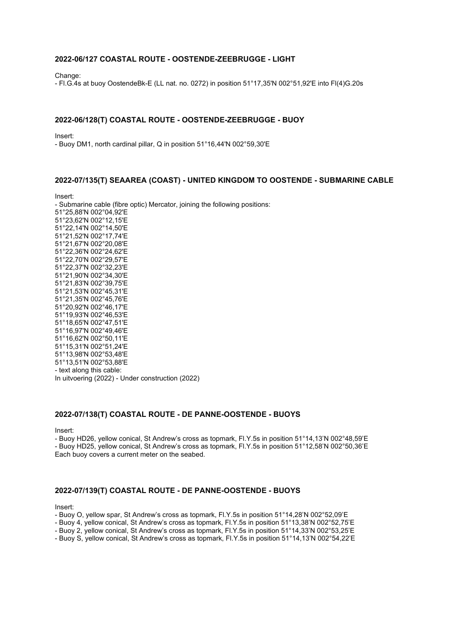### **2022-06/127 COASTAL ROUTE - OOSTENDE-ZEEBRUGGE - LIGHT**

Change:

- Fl.G.4s at buoy OostendeBk-E (LL nat. no. 0272) in position 51°17,35'N 002°51,92'E into Fl(4)G.20s

### **2022-06/128(T) COASTAL ROUTE - OOSTENDE-ZEEBRUGGE - BUOY**

Insert:

- Buoy DM1, north cardinal pillar, Q in position 51°16,44'N 002°59,30'E

# **2022-07/135(T) SEAAREA (COAST) - UNITED KINGDOM TO OOSTENDE - SUBMARINE CABLE**

Insert:

- Submarine cable (fibre optic) Mercator, joining the following positions: 51°25,88'N 002°04,92'E 51°23,62'N 002°12,15'E 51°22,14'N 002°14,50'E 51°21,52'N 002°17,74'E 51°21,67'N 002°20,08'E 51°22,36'N 002°24,62'E 51°22,70'N 002°29,57'E 51°22,37'N 002°32,23'E 51°21,90'N 002°34,30'E 51°21,83'N 002°39,75'E 51°21,53'N 002°45,31'E 51°21,35'N 002°45,76'E 51°20,92'N 002°46,17'E 51°19,93'N 002°46,53'E 51°18,65'N 002°47,51'E 51°16,97'N 002°49,46'E 51°16,62'N 002°50,11'E 51°15,31'N 002°51,24'E 51°13,98'N 002°53,48'E 51°13,51'N 002°53,88'E - text along this cable: In uitvoering (2022) - Under construction (2022)

#### **2022-07/138(T) COASTAL ROUTE - DE PANNE-OOSTENDE - BUOYS**

Insert:

- Buoy HD26, yellow conical, St Andrew's cross as topmark, Fl.Y.5s in position 51°14,13'N 002°48,59'E - Buoy HD25, yellow conical, St Andrew's cross as topmark, Fl.Y.5s in position 51°12,58'N 002°50,36'E Each buoy covers a current meter on the seabed.

#### **2022-07/139(T) COASTAL ROUTE - DE PANNE-OOSTENDE - BUOYS**

Insert:

- Buoy O, yellow spar, St Andrew's cross as topmark, Fl.Y.5s in position 51°14,28'N 002°52,09'E

- Buoy 4, yellow conical, St Andrew's cross as topmark, Fl.Y.5s in position 51°13,38'N 002°52,75'E

- Buoy 2, yellow conical, St Andrew's cross as topmark, Fl.Y.5s in position 51°14,33'N 002°53,25'E

- Buoy S, yellow conical, St Andrew's cross as topmark, Fl.Y.5s in position 51°14,13'N 002°54,22'E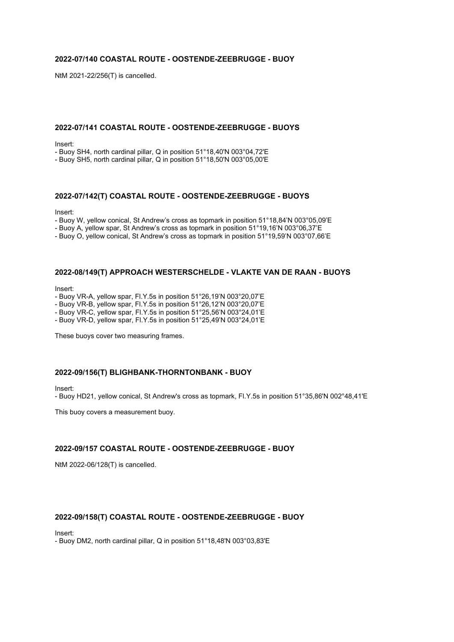# **2022-07/140 COASTAL ROUTE - OOSTENDE-ZEEBRUGGE - BUOY**

NtM 2021-22/256(T) is cancelled.

# **2022-07/141 COASTAL ROUTE - OOSTENDE-ZEEBRUGGE - BUOYS**

Insert:

- Buoy SH4, north cardinal pillar, Q in position 51°18,40'N 003°04,72'E

- Buoy SH5, north cardinal pillar, Q in position 51°18,50'N 003°05,00'E

# **2022-07/142(T) COASTAL ROUTE - OOSTENDE-ZEEBRUGGE - BUOYS**

Insert:

- Buoy W, yellow conical, St Andrew's cross as topmark in position 51°18,84'N 003°05,09'E

- Buoy A, yellow spar, St Andrew's cross as topmark in position 51°19,16'N 003°06,37'E

- Buoy O, yellow conical, St Andrew's cross as topmark in position 51°19,59'N 003°07,66'E

### **2022-08/149(T) APPROACH WESTERSCHELDE - VLAKTE VAN DE RAAN - BUOYS**

Insert:

- Buoy VR-A, yellow spar, Fl.Y.5s in position 51°26,19'N 003°20,07'E
- Buoy VR-B, yellow spar, Fl.Y.5s in position 51°26,12'N 003°20,07'E
- Buoy VR-C, yellow spar, Fl.Y.5s in position 51°25,56'N 003°24,01'E
- Buoy VR-D, yellow spar, Fl.Y.5s in position 51°25,49'N 003°24,01'E

These buoys cover two measuring frames.

#### **2022-09/156(T) BLIGHBANK-THORNTONBANK - BUOY**

Insert:

- Buoy HD21, yellow conical, St Andrew's cross as topmark, Fl.Y.5s in position 51°35,86'N 002°48,41'E

This buoy covers a measurement buoy.

#### **2022-09/157 COASTAL ROUTE - OOSTENDE-ZEEBRUGGE - BUOY**

NtM 2022-06/128(T) is cancelled.

#### **2022-09/158(T) COASTAL ROUTE - OOSTENDE-ZEEBRUGGE - BUOY**

Insert:

- Buoy DM2, north cardinal pillar, Q in position 51°18,48'N 003°03,83'E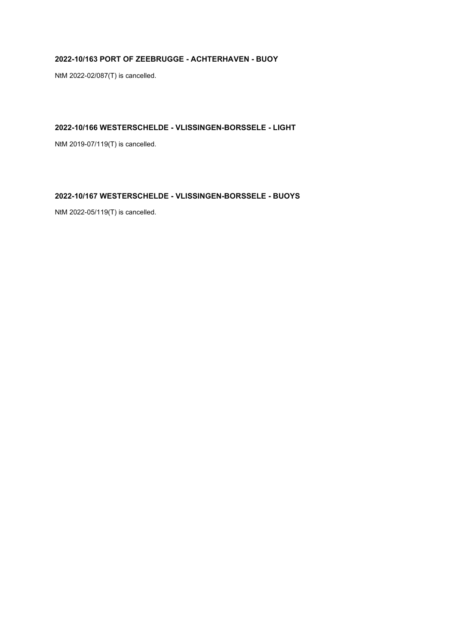# **2022-10/163 PORT OF ZEEBRUGGE - ACHTERHAVEN - BUOY**

NtM 2022-02/087(T) is cancelled.

# **2022-10/166 WESTERSCHELDE - VLISSINGEN-BORSSELE - LIGHT**

NtM 2019-07/119(T) is cancelled.

# **2022-10/167 WESTERSCHELDE - VLISSINGEN-BORSSELE - BUOYS**

NtM 2022-05/119(T) is cancelled.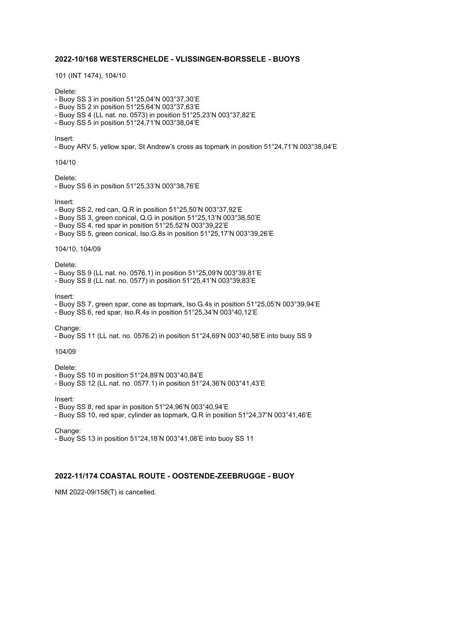# **2022-10/168 WESTERSCHELDE - VLISSINGEN-BORSSELE - BUOYS**

101 (INT 1474), 104/10

#### Delete:

- Buoy SS 3 in position 51°25,04'N 003°37,30'E
- Buoy SS 2 in position 51°25,64'N 003°37,63'E
- Buoy SS 4 (LL nat. no. 0573) in position 51°25,23'N 003°37,82'E
- Buoy SS 5 in position 51°24,71'N 003°38,04'E

#### Insert:

- Buoy ARV 5, yellow spar, St Andrew's cross as topmark in position 51°24,71'N 003°38,04'E

#### 104/10

# Delete:

- Buoy SS 6 in position 51°25,33'N 003°38,76'E

#### Insert:

- Buoy SS 2, red can, Q.R in position 51°25,50'N 003°37,92'E
- Buoy SS 3, green conical, Q.G in position 51°25,13'N 003°38,50'E
- Buoy SS 4, red spar in position 51°25,52'N 003°39,22'E
- Buoy SS 5, green conical, Iso.G.8s in position 51°25,17'N 003°39,26'E

#### 104/10, 104/09

#### Delete:

- Buoy SS 9 (LL nat. no. 0576.1) in position 51°25,09'N 003°39,81'E
- Buoy SS 8 (LL nat. no. 0577) in position 51°25,41'N 003°39,83'E

#### Insert:

- Buoy SS 7, green spar, cone as topmark, Iso.G.4s in position 51°25,05'N 003°39,94'E
- Buoy SS 6, red spar, Iso.R.4s in position 51°25,34'N 003°40,12'E

#### Change:

- Buoy SS 11 (LL nat. no. 0576.2) in position 51°24,69'N 003°40,58'E into buoy SS 9

#### 104/09

#### Delete:

- Buoy SS 10 in position 51°24,89'N 003°40,84'E
- Buoy SS 12 (LL nat. no. 0577.1) in position 51°24,36'N 003°41,43'E

#### Insert:

- Buoy SS 8, red spar in position 51°24,96'N 003°40,94'E
- Buoy SS 10, red spar, cylinder as topmark, Q.R in position 51°24,37'N 003°41,46'E

#### Change:

- Buoy SS 13 in position 51°24,18'N 003°41,08'E into buoy SS 11

# **2022-11/174 COASTAL ROUTE - OOSTENDE-ZEEBRUGGE - BUOY**

NtM 2022-09/158(T) is cancelled.